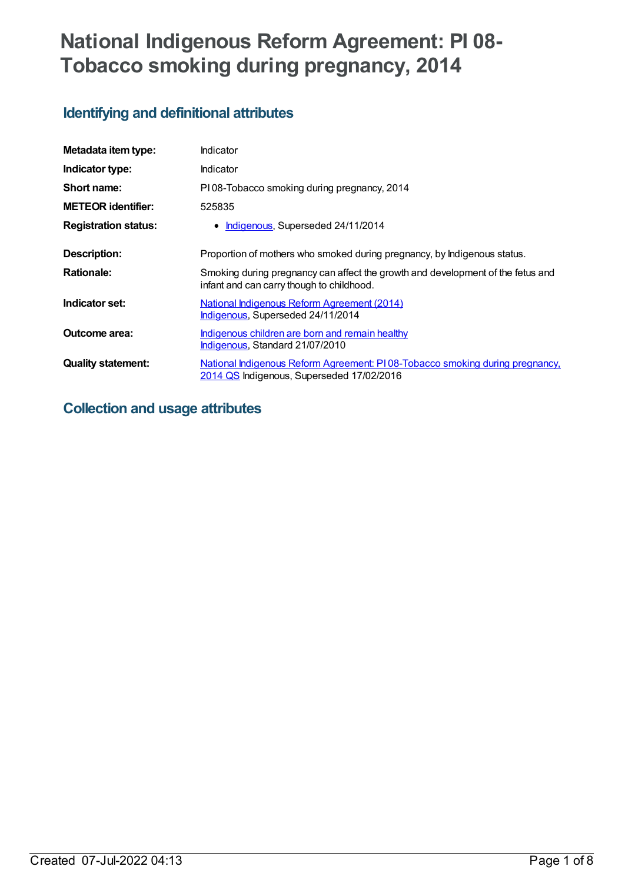# **National Indigenous Reform Agreement: PI 08- Tobacco smoking during pregnancy, 2014**

## **Identifying and definitional attributes**

| Metadata item type:         | Indicator                                                                                                                    |
|-----------------------------|------------------------------------------------------------------------------------------------------------------------------|
| Indicator type:             | Indicator                                                                                                                    |
| Short name:                 | PI08-Tobacco smoking during pregnancy, 2014                                                                                  |
| <b>METEOR identifier:</b>   | 525835                                                                                                                       |
| <b>Registration status:</b> | • Indigenous, Superseded 24/11/2014                                                                                          |
| <b>Description:</b>         | Proportion of mothers who smoked during pregnancy, by Indigenous status.                                                     |
| <b>Rationale:</b>           | Smoking during pregnancy can affect the growth and development of the fetus and<br>infant and can carry though to childhood. |
| Indicator set:              | <b>National Indigenous Reform Agreement (2014)</b><br>Indigenous, Superseded 24/11/2014                                      |
| Outcome area:               | Indigenous children are born and remain healthy<br>Indigenous, Standard 21/07/2010                                           |
| <b>Quality statement:</b>   | National Indigenous Reform Agreement: PI08-Tobacco smoking during pregnancy,<br>2014 QS Indigenous, Superseded 17/02/2016    |

## **Collection and usage attributes**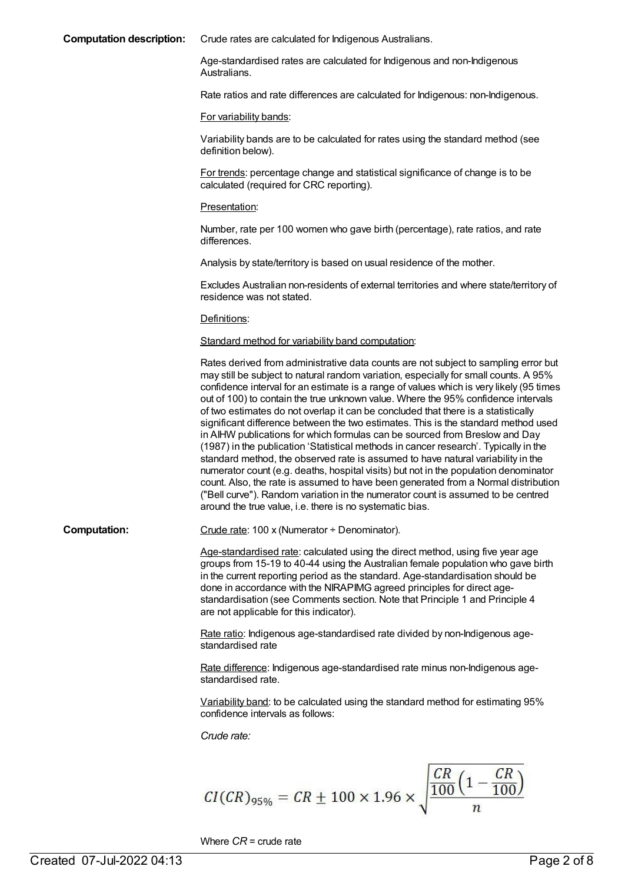#### **Computation description:** Crude rates are calculated for Indigenous Australians.

Age-standardised rates are calculated for Indigenous and non-Indigenous Australians.

Rate ratios and rate differences are calculated for Indigenous: non-Indigenous.

#### For variability bands:

Variability bands are to be calculated for rates using the standard method (see definition below).

For trends: percentage change and statistical significance of change is to be calculated (required for CRC reporting).

#### Presentation:

Number, rate per 100 women who gave birth (percentage), rate ratios, and rate differences.

Analysis by state/territory is based on usual residence of the mother.

Excludes Australian non-residents of external territories and where state/territory of residence was not stated.

#### Definitions:

Standard method for variability band computation:

Rates derived from administrative data counts are not subject to sampling error but may still be subject to natural random variation, especially for small counts. A 95% confidence interval for an estimate is a range of values which is very likely (95 times out of 100) to contain the true unknown value. Where the 95% confidence intervals of two estimates do not overlap it can be concluded that there is a statistically significant difference between the two estimates. This is the standard method used in AIHW publications for which formulas can be sourced from Breslow and Day (1987) in the publication 'Statistical methods in cancer research'. Typically in the standard method, the observed rate is assumed to have natural variability in the numerator count (e.g. deaths, hospital visits) but not in the population denominator count. Also, the rate is assumed to have been generated from a Normal distribution ("Bell curve"). Random variation in the numerator count is assumed to be centred around the true value, i.e. there is no systematic bias.

**Computation:** Crude rate: 100 x (Numerator ÷ Denominator).

Age-standardised rate: calculated using the direct method, using five year age groups from 15-19 to 40-44 using the Australian female population who gave birth in the current reporting period as the standard. Age-standardisation should be done in accordance with the NIRAPIMG agreed principles for direct agestandardisation (see Comments section. Note that Principle 1 and Principle 4 are not applicable for this indicator).

Rate ratio: Indigenous age-standardised rate divided by non-Indigenous agestandardised rate

Rate difference: Indigenous age-standardised rate minus non-Indigenous agestandardised rate.

Variability band: to be calculated using the standard method for estimating 95% confidence intervals as follows:

*Crude rate:*

$$
CI(CR)_{95\%} = CR \pm 100 \times 1.96 \times \sqrt{\frac{CR}{100} \left(1 - \frac{CR}{100}\right)}
$$

Where *CR* = crude rate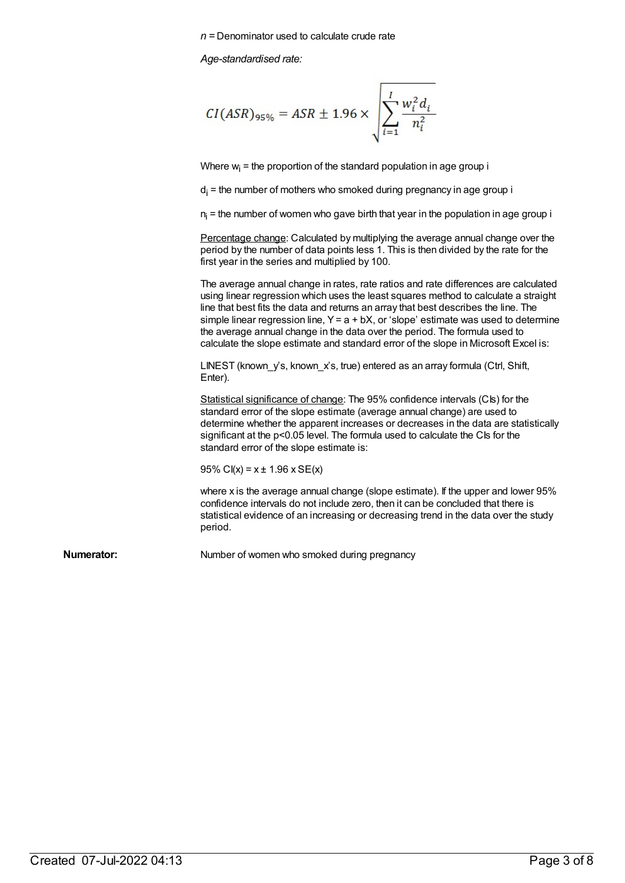*n =* Denominator used to calculate crude rate

*Age-standardised rate:*

$$
CI(ASR)_{95\%} = ASR \pm 1.96 \times \sqrt{\sum_{i=1}^{I} \frac{w_i^2 d_i}{n_i^2}}
$$

Where  $w_i$  = the proportion of the standard population in age group i

 $d_i$  = the number of mothers who smoked during pregnancy in age group i

 $n_i$  = the number of women who gave birth that year in the population in age group i

Percentage change: Calculated by multiplying the average annual change over the period by the number of data points less 1. This is then divided by the rate for the first year in the series and multiplied by 100.

The average annual change in rates, rate ratios and rate differences are calculated using linear regression which uses the least squares method to calculate a straight line that best fits the data and returns an array that best describes the line. The simple linear regression line,  $Y = a + bX$ , or 'slope' estimate was used to determine the average annual change in the data over the period. The formula used to calculate the slope estimate and standard error of the slope in Microsoft Excel is:

LINEST (known y's, known x's, true) entered as an array formula (Ctrl, Shift, Enter).

Statistical significance of change: The 95% confidence intervals (CIs) for the standard error of the slope estimate (average annual change) are used to determine whether the apparent increases or decreases in the data are statistically significant at the p<0.05 level. The formula used to calculate the CIs for the standard error of the slope estimate is:

95% C $I(x) = x \pm 1.96$  x SE $(x)$ 

where x is the average annual change (slope estimate). If the upper and lower 95% confidence intervals do not include zero, then it can be concluded that there is statistical evidence of an increasing or decreasing trend in the data over the study period.

**Numerator:** Number of women who smoked during pregnancy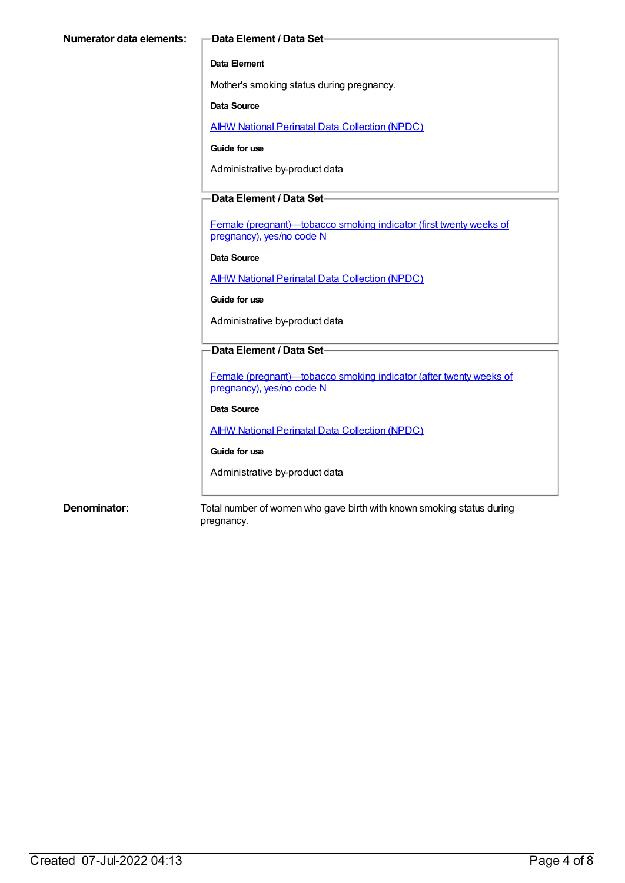#### **Data Element**

Mother's smoking status during pregnancy.

#### **Data Source**

**AIHW National Perinatal Data [Collection](https://meteor.aihw.gov.au/content/392479) (NPDC)** 

#### **Guide for use**

Administrative by-product data

#### **Data Element / Data Set**

Female [\(pregnant\)—tobacco](https://meteor.aihw.gov.au/content/365404) smoking indicator (first twenty weeks of pregnancy), yes/no code N

#### **Data Source**

AIHW National Perinatal Data [Collection](https://meteor.aihw.gov.au/content/392479) (NPDC)

**Guide for use**

Administrative by-product data

#### **Data Element / Data Set**

Female [\(pregnant\)—tobacco](https://meteor.aihw.gov.au/content/365417) smoking indicator (after twenty weeks of pregnancy), yes/no code N

#### **Data Source**

AIHW National Perinatal Data [Collection](https://meteor.aihw.gov.au/content/392479) (NPDC)

**Guide for use**

Administrative by-product data

**Denominator:** Total number of women who gave birth with known smoking status during pregnancy.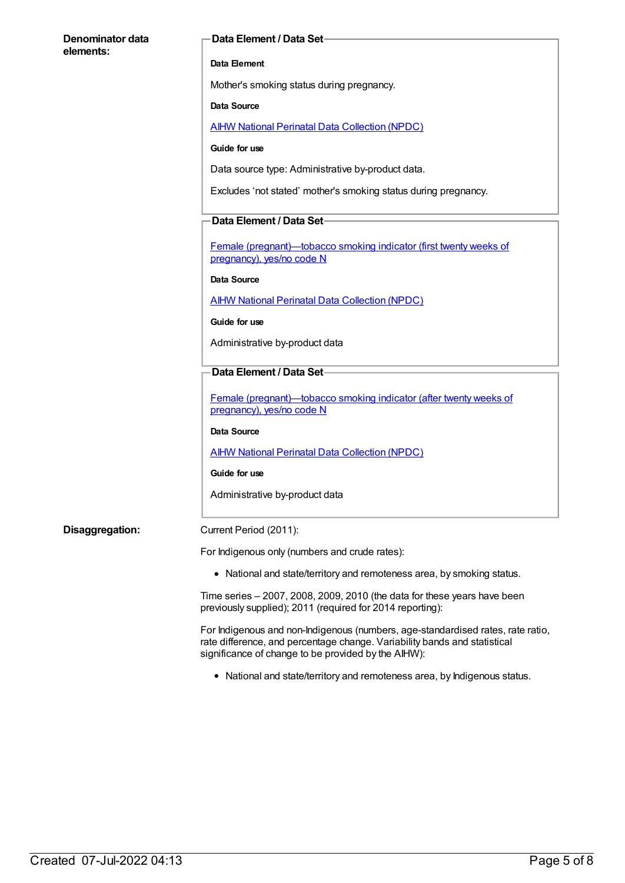#### **Denominator data elements:**

#### **Data Element / Data Set**

#### **Data Element**

Mother's smoking status during pregnancy.

#### **Data Source**

AIHW National Perinatal Data [Collection](https://meteor.aihw.gov.au/content/392479) (NPDC)

#### **Guide for use**

Data source type: Administrative by-product data.

Excludes 'not stated' mother's smoking status during pregnancy.

#### **Data Element / Data Set**

Female [\(pregnant\)—tobacco](https://meteor.aihw.gov.au/content/365404) smoking indicator (first twenty weeks of pregnancy), yes/no code N

#### **Data Source**

AIHW National Perinatal Data [Collection](https://meteor.aihw.gov.au/content/392479) (NPDC)

**Guide for use**

Administrative by-product data

### **Data Element / Data Set**

Female [\(pregnant\)—tobacco](https://meteor.aihw.gov.au/content/365417) smoking indicator (after twenty weeks of pregnancy), yes/no code N

#### **Data Source**

AIHW National Perinatal Data [Collection](https://meteor.aihw.gov.au/content/392479) (NPDC)

#### **Guide for use**

Administrative by-product data

#### **Disaggregation:** Current Period (2011):

For Indigenous only (numbers and crude rates):

• National and state/territory and remoteness area, by smoking status.

Time series – 2007, 2008, 2009, 2010 (the data for these years have been previously supplied); 2011 (required for 2014 reporting):

For Indigenous and non-Indigenous (numbers, age-standardised rates, rate ratio, rate difference, and percentage change. Variability bands and statistical significance of change to be provided by the AIHW):

National and state/territory and remoteness area, by Indigenous status.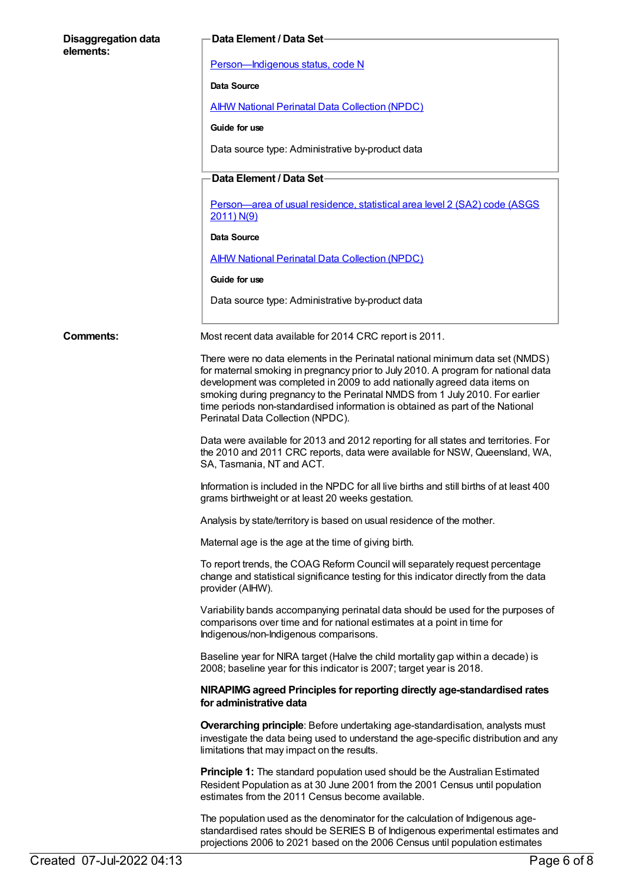| <b>Disaggregation data</b><br>elements: | <b>Data Element / Data Set-</b>                                                                                                                                                                                                                                                                                                                                                                                                                      |
|-----------------------------------------|------------------------------------------------------------------------------------------------------------------------------------------------------------------------------------------------------------------------------------------------------------------------------------------------------------------------------------------------------------------------------------------------------------------------------------------------------|
|                                         | Person-Indigenous status, code N                                                                                                                                                                                                                                                                                                                                                                                                                     |
|                                         | Data Source                                                                                                                                                                                                                                                                                                                                                                                                                                          |
|                                         | <b>AIHW National Perinatal Data Collection (NPDC)</b>                                                                                                                                                                                                                                                                                                                                                                                                |
|                                         | Guide for use                                                                                                                                                                                                                                                                                                                                                                                                                                        |
|                                         | Data source type: Administrative by-product data                                                                                                                                                                                                                                                                                                                                                                                                     |
|                                         | Data Element / Data Set-                                                                                                                                                                                                                                                                                                                                                                                                                             |
|                                         | Person-area of usual residence, statistical area level 2 (SA2) code (ASGS<br>2011) N(9)                                                                                                                                                                                                                                                                                                                                                              |
|                                         | <b>Data Source</b>                                                                                                                                                                                                                                                                                                                                                                                                                                   |
|                                         | <b>AIHW National Perinatal Data Collection (NPDC)</b>                                                                                                                                                                                                                                                                                                                                                                                                |
|                                         | Guide for use                                                                                                                                                                                                                                                                                                                                                                                                                                        |
|                                         | Data source type: Administrative by-product data                                                                                                                                                                                                                                                                                                                                                                                                     |
| Comments:                               | Most recent data available for 2014 CRC report is 2011.                                                                                                                                                                                                                                                                                                                                                                                              |
|                                         | There were no data elements in the Perinatal national minimum data set (NMDS)<br>for maternal smoking in pregnancy prior to July 2010. A program for national data<br>development was completed in 2009 to add nationally agreed data items on<br>smoking during pregnancy to the Perinatal NMDS from 1 July 2010. For earlier<br>time periods non-standardised information is obtained as part of the National<br>Perinatal Data Collection (NPDC). |
|                                         | Data were available for 2013 and 2012 reporting for all states and territories. For<br>the 2010 and 2011 CRC reports, data were available for NSW, Queensland, WA,<br>SA, Tasmania, NT and ACT.                                                                                                                                                                                                                                                      |
|                                         | Information is included in the NPDC for all live births and still births of at least 400<br>grams birthweight or at least 20 weeks gestation.                                                                                                                                                                                                                                                                                                        |
|                                         | Analysis by state/territory is based on usual residence of the mother.                                                                                                                                                                                                                                                                                                                                                                               |
|                                         | Maternal age is the age at the time of giving birth.                                                                                                                                                                                                                                                                                                                                                                                                 |
|                                         | To report trends, the COAG Reform Council will separately request percentage<br>change and statistical significance testing for this indicator directly from the data<br>provider (AlHW).                                                                                                                                                                                                                                                            |
|                                         | Variability bands accompanying perinatal data should be used for the purposes of<br>comparisons over time and for national estimates at a point in time for<br>Indigenous/non-Indigenous comparisons.                                                                                                                                                                                                                                                |
|                                         | Baseline year for NIRA target (Halve the child mortality gap within a decade) is<br>2008; baseline year for this indicator is 2007; target year is 2018.                                                                                                                                                                                                                                                                                             |
|                                         | NIRAPIMG agreed Principles for reporting directly age-standardised rates<br>for administrative data                                                                                                                                                                                                                                                                                                                                                  |
|                                         | <b>Overarching principle</b> : Before undertaking age-standardisation, analysts must<br>investigate the data being used to understand the age-specific distribution and any<br>limitations that may impact on the results.                                                                                                                                                                                                                           |
|                                         | <b>Principle 1:</b> The standard population used should be the Australian Estimated<br>Resident Population as at 30 June 2001 from the 2001 Census until population<br>estimates from the 2011 Census become available.                                                                                                                                                                                                                              |
|                                         | The population used as the denominator for the calculation of Indigenous age-<br>standardised rates should be SERIES B of Indigenous experimental estimates and                                                                                                                                                                                                                                                                                      |

projections 2006 to 2021 based on the 2006 Census until population estimates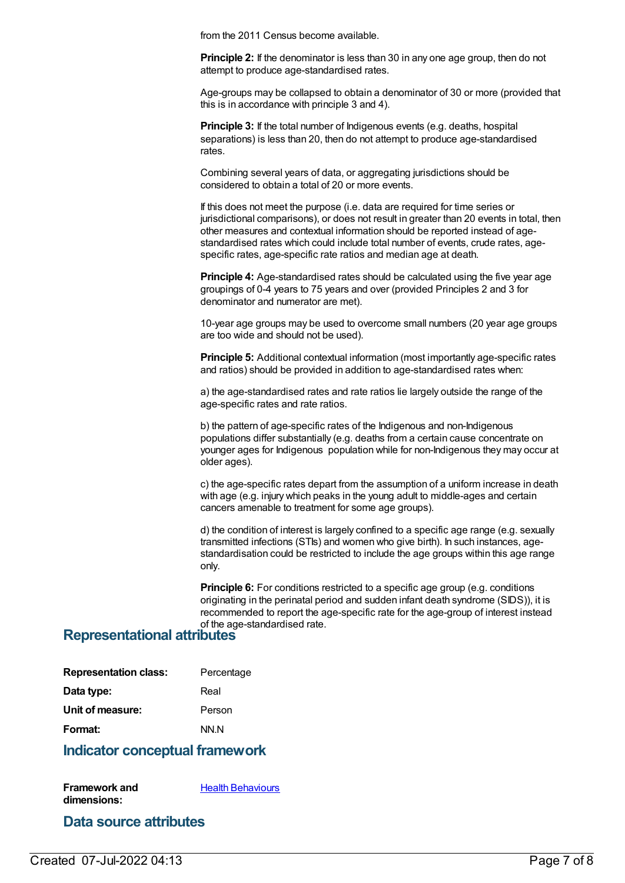from the 2011 Census become available.

**Principle 2:** If the denominator is less than 30 in any one age group, then do not attempt to produce age-standardised rates.

Age-groups may be collapsed to obtain a denominator of 30 or more (provided that this is in accordance with principle 3 and 4).

**Principle 3:** If the total number of Indigenous events (e.g. deaths, hospital separations) is less than 20, then do not attempt to produce age-standardised rates.

Combining several years of data, or aggregating jurisdictions should be considered to obtain a total of 20 or more events.

If this does not meet the purpose (i.e. data are required for time series or jurisdictional comparisons), or does not result in greater than 20 events in total, then other measures and contextual information should be reported instead of agestandardised rates which could include total number of events, crude rates, agespecific rates, age-specific rate ratios and median age at death.

**Principle 4:** Age-standardised rates should be calculated using the five year age groupings of 0-4 years to 75 years and over (provided Principles 2 and 3 for denominator and numerator are met).

10-year age groups may be used to overcome small numbers (20 year age groups are too wide and should not be used).

**Principle 5:** Additional contextual information (most importantly age-specific rates and ratios) should be provided in addition to age-standardised rates when:

a) the age-standardised rates and rate ratios lie largely outside the range of the age-specific rates and rate ratios.

b) the pattern of age-specific rates of the Indigenous and non-Indigenous populations differ substantially (e.g. deaths from a certain cause concentrate on younger ages for Indigenous population while for non-Indigenous they may occur at older ages).

c) the age-specific rates depart from the assumption of a uniform increase in death with age (e.g. injury which peaks in the young adult to middle-ages and certain cancers amenable to treatment for some age groups).

d) the condition of interest is largely confined to a specific age range (e.g. sexually transmitted infections (STIs) and women who give birth). In such instances, agestandardisation could be restricted to include the age groups within this age range only.

**Principle 6:** For conditions restricted to a specific age group (e.g. conditions originating in the perinatal period and sudden infant death syndrome (SIDS)), it is recommended to report the age-specific rate for the age-group of interest instead

### **Representational attributes**

| Percentage |
|------------|
| Real       |
| Person     |
| NN.N       |
|            |

### **Indicator conceptual framework**

**Framework and dimensions:** Health [Behaviours](https://meteor.aihw.gov.au/content/410676)

### **Data source attributes**